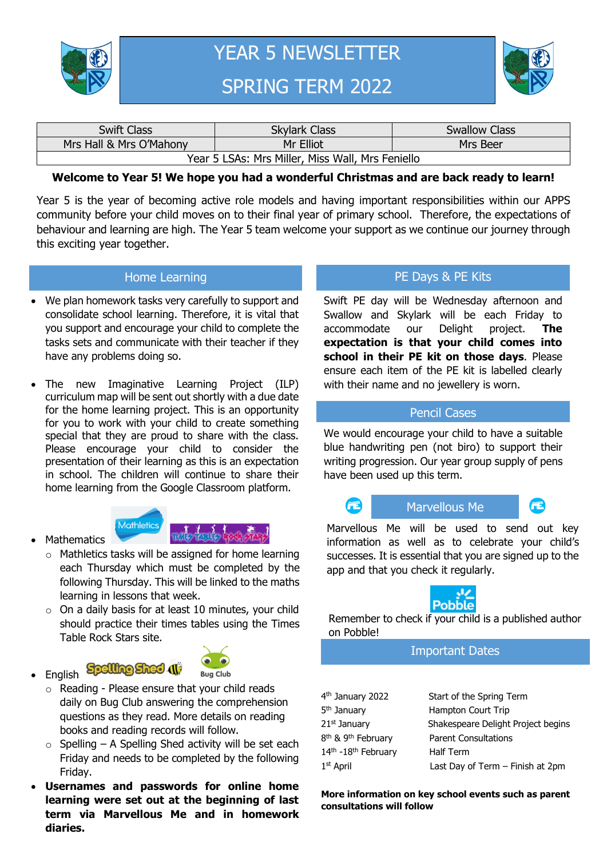

YEAR 5 NEWSLETTER SPRING TERM 2022



| <b>Swift Class</b>                               | <b>Skylark Class</b> | <b>Swallow Class</b> |  |  |  |
|--------------------------------------------------|----------------------|----------------------|--|--|--|
| Mrs Hall & Mrs O'Mahony                          | Mr Elliot            | Mrs Beer             |  |  |  |
| Year 5 LSAs: Mrs Miller, Miss Wall, Mrs Feniello |                      |                      |  |  |  |

### **Welcome to Year 5! We hope you had a wonderful Christmas and are back ready to learn!**

Year 5 is the year of becoming active role models and having important responsibilities within our APPS community before your child moves on to their final year of primary school. Therefore, the expectations of behaviour and learning are high. The Year 5 team welcome your support as we continue our journey through this exciting year together.

#### Home Learning

- We plan homework tasks very carefully to support and consolidate school learning. Therefore, it is vital that you support and encourage your child to complete the tasks sets and communicate with their teacher if they have any problems doing so.
- The new Imaginative Learning Project (ILP) curriculum map will be sent out shortly with a due date for the home learning project. This is an opportunity for you to work with your child to create something special that they are proud to share with the class. Please encourage your child to consider the presentation of their learning as this is an expectation in school. The children will continue to share their home learning from the Google Classroom platform.



**Spelling Shed 41** 



- o Mathletics tasks will be assigned for home learning each Thursday which must be completed by the following Thursday. This will be linked to the maths learning in lessons that week.
- o On a daily basis for at least 10 minutes, your child should practice their times tables using the Times Table Rock Stars site.
- English



- o Reading Please ensure that your child reads daily on Bug Club answering the comprehension questions as they read. More details on reading books and reading records will follow.
- $\circ$  Spelling A Spelling Shed activity will be set each Friday and needs to be completed by the following Friday.
- **Usernames and passwords for online home learning were set out at the beginning of last term via Marvellous Me and in homework diaries.**

### PE Days & PE Kits

Swift PE day will be Wednesday afternoon and Swallow and Skylark will be each Friday to accommodate our Delight project. **The expectation is that your child comes into school in their PE kit on those days**. Please ensure each item of the PE kit is labelled clearly with their name and no jewellery is worn.

### Pencil Cases

We would encourage your child to have a suitable blue handwriting pen (not biro) to support their writing progression. Our year group supply of pens have been used up this term.



Marvellous Me will be used to send out key information as well as to celebrate your child's successes. It is essential that you are signed up to the app and that you check it regularly.



Remember to check if your child is a published author on Pobble!

### Important Dates

| 4 <sup>th</sup> January 2022               | Start of the Spring Term           |
|--------------------------------------------|------------------------------------|
| 5 <sup>th</sup> January                    | Hampton Court Trip                 |
| 21 <sup>st</sup> January                   | Shakespeare Delight Project begins |
| 8 <sup>th</sup> & 9 <sup>th</sup> February | <b>Parent Consultations</b>        |
| 14th -18th February                        | <b>Half Term</b>                   |
| 1 <sup>st</sup> April                      | Last Day of Term - Finish at 2pm   |

**More information on key school events such as parent consultations will follow**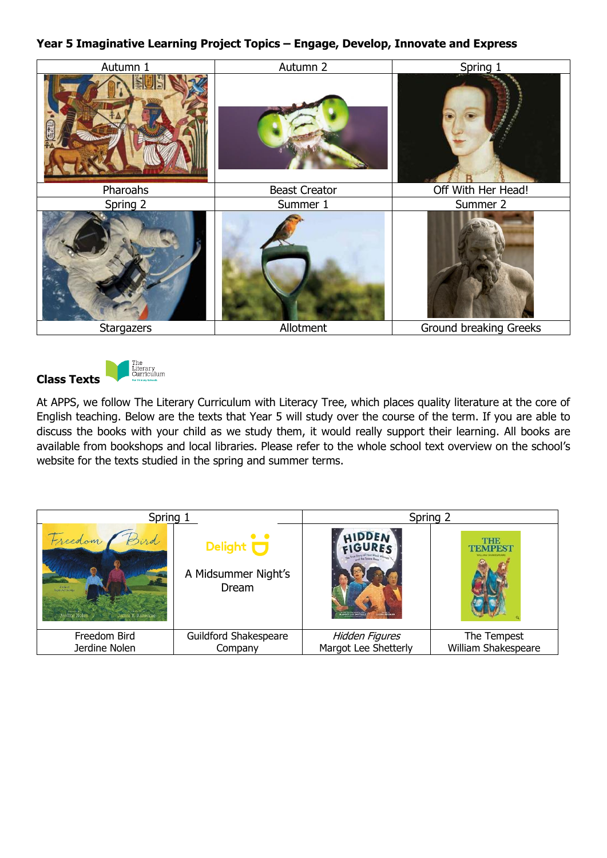## **Year 5 Imaginative Learning Project Topics – Engage, Develop, Innovate and Express**



**Class Texts**



At APPS, we follow The Literary Curriculum with Literacy Tree, which places quality literature at the core of English teaching. Below are the texts that Year 5 will study over the course of the term. If you are able to discuss the books with your child as we study them, it would really support their learning. All books are available from bookshops and local libraries. Please refer to the whole school text overview on the school's website for the texts studied in the spring and summer terms.

| Spring 1                                                   |                                                                         | Spring 2                                    |                       |  |
|------------------------------------------------------------|-------------------------------------------------------------------------|---------------------------------------------|-----------------------|--|
| Freedom /<br>A tak st<br>Jerdine Nolen<br>James E. Ransome | $\bullet$ $\bullet$<br>Delight <b>U</b><br>A Midsummer Night's<br>Dream | ARGOT LEE SHETTIER<br><b>LAGILE FREEMAN</b> | THE<br><b>TEMPEST</b> |  |
| Freedom Bird                                               | Guildford Shakespeare                                                   | Hidden Figures                              | The Tempest           |  |
| Jerdine Nolen                                              | Company                                                                 | Margot Lee Shetterly                        | William Shakespeare   |  |